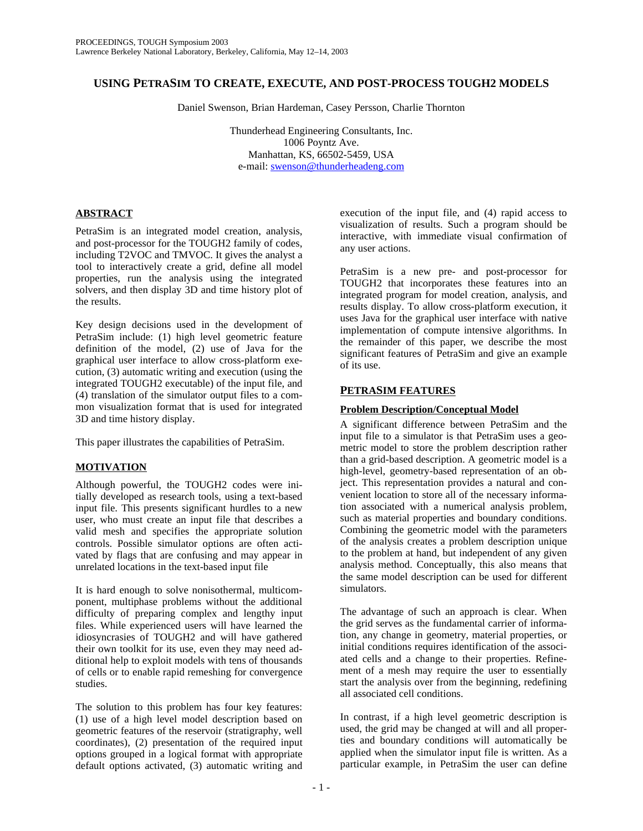# **USING PETRASIM TO CREATE, EXECUTE, AND POST-PROCESS TOUGH2 MODELS**

Daniel Swenson, Brian Hardeman, Casey Persson, Charlie Thornton

Thunderhead Engineering Consultants, Inc. 1006 Poyntz Ave. Manhattan, KS, 66502-5459, USA e-mail: swenson@thunderheadeng.com

## **ABSTRACT**

PetraSim is an integrated model creation, analysis, and post-processor for the TOUGH2 family of codes, including T2VOC and TMVOC. It gives the analyst a tool to interactively create a grid, define all model properties, run the analysis using the integrated solvers, and then display 3D and time history plot of the results.

Key design decisions used in the development of PetraSim include: (1) high level geometric feature definition of the model, (2) use of Java for the graphical user interface to allow cross-platform execution, (3) automatic writing and execution (using the integrated TOUGH2 executable) of the input file, and (4) translation of the simulator output files to a common visualization format that is used for integrated 3D and time history display.

This paper illustrates the capabilities of PetraSim.

# **MOTIVATION**

Although powerful, the TOUGH2 codes were initially developed as research tools, using a text-based input file. This presents significant hurdles to a new user, who must create an input file that describes a valid mesh and specifies the appropriate solution controls. Possible simulator options are often activated by flags that are confusing and may appear in unrelated locations in the text-based input file

It is hard enough to solve nonisothermal, multicomponent, multiphase problems without the additional difficulty of preparing complex and lengthy input files. While experienced users will have learned the idiosyncrasies of TOUGH2 and will have gathered their own toolkit for its use, even they may need additional help to exploit models with tens of thousands of cells or to enable rapid remeshing for convergence studies.

The solution to this problem has four key features: (1) use of a high level model description based on geometric features of the reservoir (stratigraphy, well coordinates), (2) presentation of the required input options grouped in a logical format with appropriate default options activated, (3) automatic writing and execution of the input file, and (4) rapid access to visualization of results. Such a program should be interactive, with immediate visual confirmation of any user actions.

PetraSim is a new pre- and post-processor for TOUGH2 that incorporates these features into an integrated program for model creation, analysis, and results display. To allow cross-platform execution, it uses Java for the graphical user interface with native implementation of compute intensive algorithms. In the remainder of this paper, we describe the most significant features of PetraSim and give an example of its use.

## **PETRASIM FEATURES**

## **Problem Description/Conceptual Model**

A significant difference between PetraSim and the input file to a simulator is that PetraSim uses a geometric model to store the problem description rather than a grid-based description. A geometric model is a high-level, geometry-based representation of an object. This representation provides a natural and convenient location to store all of the necessary information associated with a numerical analysis problem, such as material properties and boundary conditions. Combining the geometric model with the parameters of the analysis creates a problem description unique to the problem at hand, but independent of any given analysis method. Conceptually, this also means that the same model description can be used for different simulators.

The advantage of such an approach is clear. When the grid serves as the fundamental carrier of information, any change in geometry, material properties, or initial conditions requires identification of the associated cells and a change to their properties. Refinement of a mesh may require the user to essentially start the analysis over from the beginning, redefining all associated cell conditions.

In contrast, if a high level geometric description is used, the grid may be changed at will and all properties and boundary conditions will automatically be applied when the simulator input file is written. As a particular example, in PetraSim the user can define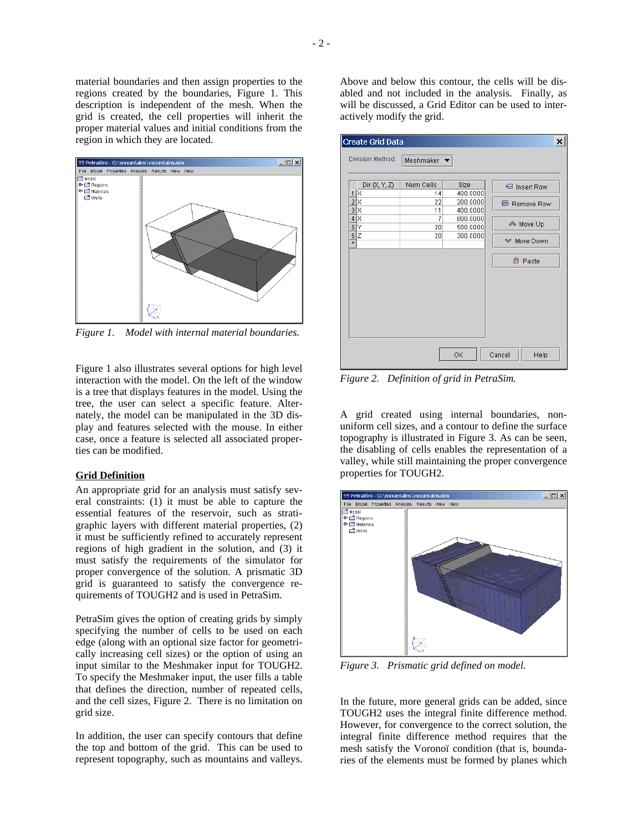material boundaries and then assign properties to the regions created by the boundaries, Figure 1. This description is independent of the mesh. When the grid is created, the cell properties will inherit the proper material values and initial conditions from the region in which they are located.



*Figure 1. Model with internal material boundaries.* 

Figure 1 also illustrates several options for high level interaction with the model. On the left of the window is a tree that displays features in the model. Using the tree, the user can select a specific feature. Alternately, the model can be manipulated in the 3D display and features selected with the mouse. In either case, once a feature is selected all associated properties can be modified.

### **Grid Definition**

An appropriate grid for an analysis must satisfy several constraints: (1) it must be able to capture the essential features of the reservoir, such as stratigraphic layers with different material properties, (2) it must be sufficiently refined to accurately represent regions of high gradient in the solution, and (3) it must satisfy the requirements of the simulator for proper convergence of the solution. A prismatic 3D grid is guaranteed to satisfy the convergence requirements of TOUGH2 and is used in PetraSim.

PetraSim gives the option of creating grids by simply specifying the number of cells to be used on each edge (along with an optional size factor for geometrically increasing cell sizes) or the option of using an input similar to the Meshmaker input for TOUGH2. To specify the Meshmaker input, the user fills a table that defines the direction, number of repeated cells, and the cell sizes, Figure 2. There is no limitation on grid size.

In addition, the user can specify contours that define the top and bottom of the grid. This can be used to represent topography, such as mountains and valleys. Above and below this contour, the cells will be disabled and not included in the analysis. Finally, as will be discussed, a Grid Editor can be used to interactively modify the grid.

| <b>Create Grid Data</b> |                                 |          | ×                |
|-------------------------|---------------------------------|----------|------------------|
| Division Method:        | Meshmaker $\blacktriangleright$ |          |                  |
|                         |                                 |          |                  |
| Dir $(X, Y, Z)$         | Num Cells                       | Size     | · Insert Row     |
| $1 \times$              | 14<br>22                        | 400.0000 |                  |
| $2 \times$              |                                 | 200.0000 | 图 Remove Row     |
| 3x                      | 11<br>7                         | 400.0000 |                  |
| $4 \times$              |                                 | 800.0000 | ← Move Up        |
| 5 Y                     | 20                              | 500.0000 |                  |
| 6<br>ΙZ<br>$\star$      | 20                              | 300.0000 | <b>Move Down</b> |
|                         |                                 |          |                  |
|                         |                                 |          | <b>B</b> Paste   |
|                         |                                 |          |                  |
|                         |                                 |          |                  |
|                         |                                 |          |                  |
|                         |                                 |          |                  |
|                         |                                 |          |                  |
|                         |                                 |          |                  |
|                         |                                 |          |                  |
|                         |                                 |          |                  |
|                         |                                 |          |                  |
|                         |                                 |          |                  |
|                         |                                 | OK       | Help<br>Cancel   |
|                         |                                 |          |                  |

*Figure 2. Definition of grid in PetraSim.* 

A grid created using internal boundaries, nonuniform cell sizes, and a contour to define the surface topography is illustrated in Figure 3. As can be seen, the disabling of cells enables the representation of a valley, while still maintaining the proper convergence properties for TOUGH2.



*Figure 3. Prismatic grid defined on model.* 

In the future, more general grids can be added, since TOUGH2 uses the integral finite difference method. However, for convergence to the correct solution, the integral finite difference method requires that the mesh satisfy the Voronoï condition (that is, boundaries of the elements must be formed by planes which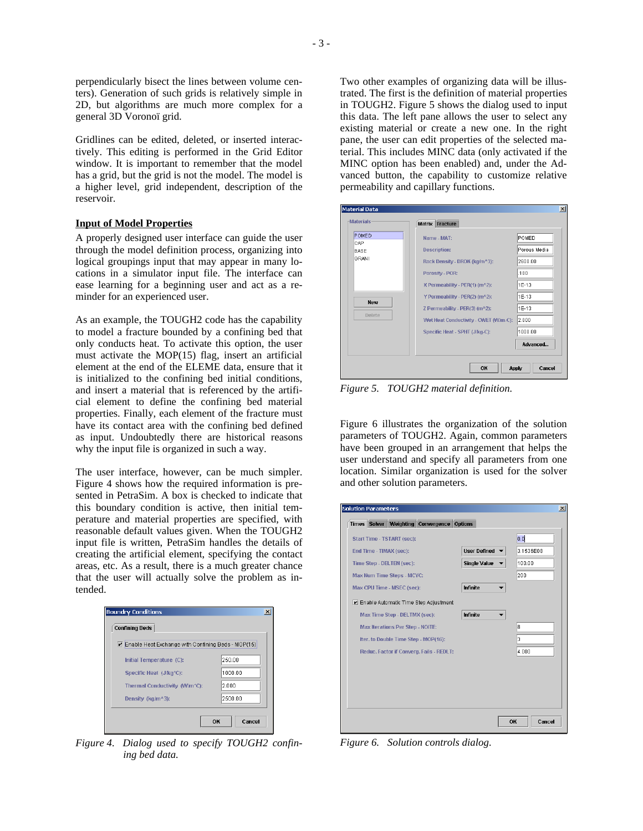perpendicularly bisect the lines between volume centers). Generation of such grids is relatively simple in 2D, but algorithms are much more complex for a general 3D Voronoï grid.

Gridlines can be edited, deleted, or inserted interactively. This editing is performed in the Grid Editor window. It is important to remember that the model has a grid, but the grid is not the model. The model is a higher level, grid independent, description of the reservoir.

#### **Input of Model Properties**

A properly designed user interface can guide the user through the model definition process, organizing into logical groupings input that may appear in many locations in a simulator input file. The interface can ease learning for a beginning user and act as a reminder for an experienced user.

As an example, the TOUGH2 code has the capability to model a fracture bounded by a confining bed that only conducts heat. To activate this option, the user must activate the MOP(15) flag, insert an artificial element at the end of the ELEME data, ensure that it is initialized to the confining bed initial conditions, and insert a material that is referenced by the artificial element to define the confining bed material properties. Finally, each element of the fracture must have its contact area with the confining bed defined as input. Undoubtedly there are historical reasons why the input file is organized in such a way.

The user interface, however, can be much simpler. Figure 4 shows how the required information is presented in PetraSim. A box is checked to indicate that this boundary condition is active, then initial temperature and material properties are specified, with reasonable default values given. When the TOUGH2 input file is written, PetraSim handles the details of creating the artificial element, specifying the contact areas, etc. As a result, there is a much greater chance that the user will actually solve the problem as intended.



*Figure 4. Dialog used to specify TOUGH2 confining bed data.* 

Two other examples of organizing data will be illustrated. The first is the definition of material properties in TOUGH2. Figure 5 shows the dialog used to input this data. The left pane allows the user to select any existing material or create a new one. In the right pane, the user can edit properties of the selected material. This includes MINC data (only activated if the MINC option has been enabled) and, under the Advanced button, the capability to customize relative permeability and capillary functions.

| <b>POMED</b>         | Name - MAT:                           |              |  |
|----------------------|---------------------------------------|--------------|--|
| CAP                  |                                       | POMED        |  |
| <b>BASE</b>          | <b>Description:</b>                   | Porous Media |  |
| GRANI                | Rock Density - DROK (kg/m^3):         | 2600.00      |  |
| <b>New</b><br>Delete | <b>Porosity - POR:</b>                | 100          |  |
|                      | X Permeability - PER(1) (m^2):        | 1E-13        |  |
|                      | Y Permeability - PER(2) (m^2):        | 1E-13        |  |
|                      | Z Permeability - PER(3) (m^2):        | $1E-13$      |  |
|                      | Wet Heat Conductivity - CWET (W/m-C): | 2.000        |  |
|                      | Specific Heat - SPHT (J/kg-C):        | 1000.00      |  |
|                      |                                       | Advanced     |  |

*Figure 5. TOUGH2 material definition.* 

Figure 6 illustrates the organization of the solution parameters of TOUGH2. Again, common parameters have been grouped in an arrangement that helps the user understand and specify all parameters from one location. Similar organization is used for the solver and other solution parameters.

| <b>Solution Parameters</b> |                                         |                                            |                     |           |        |
|----------------------------|-----------------------------------------|--------------------------------------------|---------------------|-----------|--------|
|                            |                                         | Times Solver Weighting Convergence Options |                     |           |        |
|                            | Start Time - TSTART (sec):              |                                            |                     | 0.0       |        |
|                            | End Time - TIMAX (sec):                 |                                            | <b>User Defined</b> | 3.1536E08 |        |
|                            | <b>Time Step - DELTEN (sec):</b>        |                                            | <b>Single Value</b> | 100.00    |        |
|                            | Max Num Time Steps - MCYC:              |                                            |                     | 200       |        |
|                            | Max CPU Time - MSEC (sec):              |                                            | Infinite            |           |        |
|                            |                                         | Enable Automatic Time Step Adjustment      |                     |           |        |
|                            | Max Time Step - DELTMX (sec):           |                                            | Infinite            |           |        |
|                            | <b>Max Iterations Per Step - NOITE:</b> |                                            |                     | 18        |        |
|                            |                                         | Iter. to Double Time Step - MOP(16):       |                     | 3         |        |
|                            |                                         | Reduc. Factor if Converg. Fails - REDLT:   |                     | 4.000     |        |
|                            |                                         |                                            |                     |           |        |
|                            |                                         |                                            |                     |           |        |
|                            |                                         |                                            |                     |           |        |
|                            |                                         |                                            |                     |           |        |
|                            |                                         |                                            |                     |           |        |
|                            |                                         |                                            |                     | OK        | Cancel |

*Figure 6. Solution controls dialog.*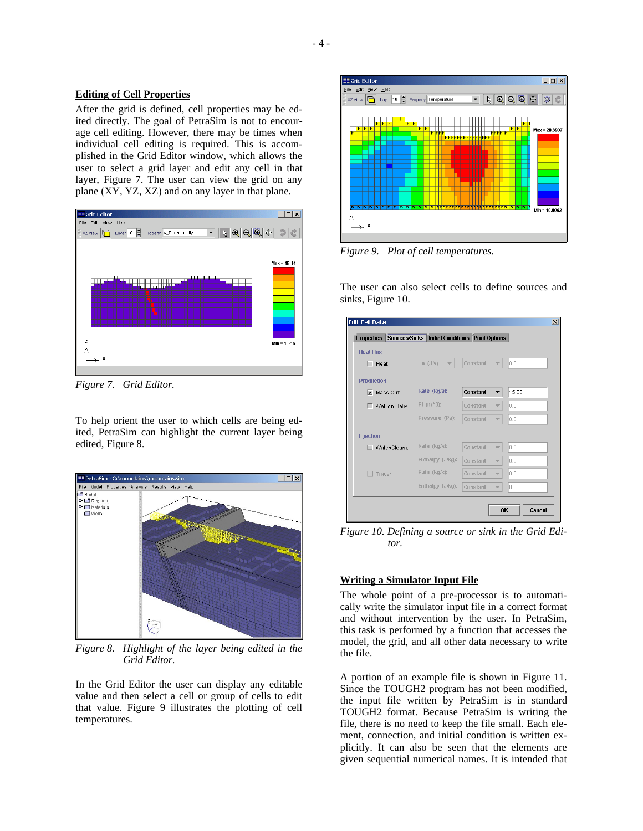#### **Editing of Cell Properties**

After the grid is defined, cell properties may be edited directly. The goal of PetraSim is not to encourage cell editing. However, there may be times when individual cell editing is required. This is accomplished in the Grid Editor window, which allows the user to select a grid layer and edit any cell in that layer, Figure 7. The user can view the grid on any plane (XY, YZ, XZ) and on any layer in that plane.



*Figure 7. Grid Editor.* 

To help orient the user to which cells are being edited, PetraSim can highlight the current layer being edited, Figure 8.



*Figure 8. Highlight of the layer being edited in the Grid Editor.* 

In the Grid Editor the user can display any editable value and then select a cell or group of cells to edit that value. Figure 9 illustrates the plotting of cell temperatures.



*Figure 9. Plot of cell temperatures.* 

The user can also select cells to define sources and sinks, Figure 10.

| <b>Edit Cell Data</b>    |                 |                                                    |                 |                          |       | $\vert x \vert$ |
|--------------------------|-----------------|----------------------------------------------------|-----------------|--------------------------|-------|-----------------|
| <b>Properties</b>        |                 | Sources/Sinks   Initial Conditions   Print Options |                 |                          |       |                 |
| <b>Heat Flux</b>         |                 |                                                    |                 |                          |       |                 |
| $\Box$ Heat:             |                 | $\ln$ (J/s)<br>$\overline{\phantom{a}}$            | Constant        | ÷                        | 0.0   |                 |
| <b>Production</b>        |                 |                                                    |                 |                          |       |                 |
| $\overline{V}$ Mass Out: |                 | Rate (kg/s):                                       | <b>Constant</b> |                          | 15.00 |                 |
|                          | Well on Deliv.: | PI (m^3):                                          | Constant        | $\overline{\phantom{a}}$ | 0.0   |                 |
|                          |                 | Pressure (Pa):                                     | Constant        | $\overline{\mathbf{v}}$  | 0.0   |                 |
| <b>Injection</b>         |                 |                                                    |                 |                          |       |                 |
|                          | Water/Steam:    | Rate (kg/s):                                       | Constant        | $\overline{\phantom{a}}$ | 0.0   |                 |
|                          |                 | Enthalpy (J/kg):                                   | Constant        | $\overline{\mathbf{v}}$  | 0.0   |                 |
| Tracer:                  |                 | Rate (kg/s):                                       | Constant        | $\overline{\phantom{a}}$ | 0.0   |                 |
|                          |                 | Enthalpy (J/kg):                                   | Constant        | $\overline{\phantom{a}}$ | 0.0   |                 |
|                          |                 |                                                    |                 | OK                       |       | Cancel          |

*Figure 10. Defining a source or sink in the Grid Editor.* 

### **Writing a Simulator Input File**

The whole point of a pre-processor is to automatically write the simulator input file in a correct format and without intervention by the user. In PetraSim, this task is performed by a function that accesses the model, the grid, and all other data necessary to write the file.

A portion of an example file is shown in Figure 11. Since the TOUGH2 program has not been modified, the input file written by PetraSim is in standard TOUGH2 format. Because PetraSim is writing the file, there is no need to keep the file small. Each element, connection, and initial condition is written explicitly. It can also be seen that the elements are given sequential numerical names. It is intended that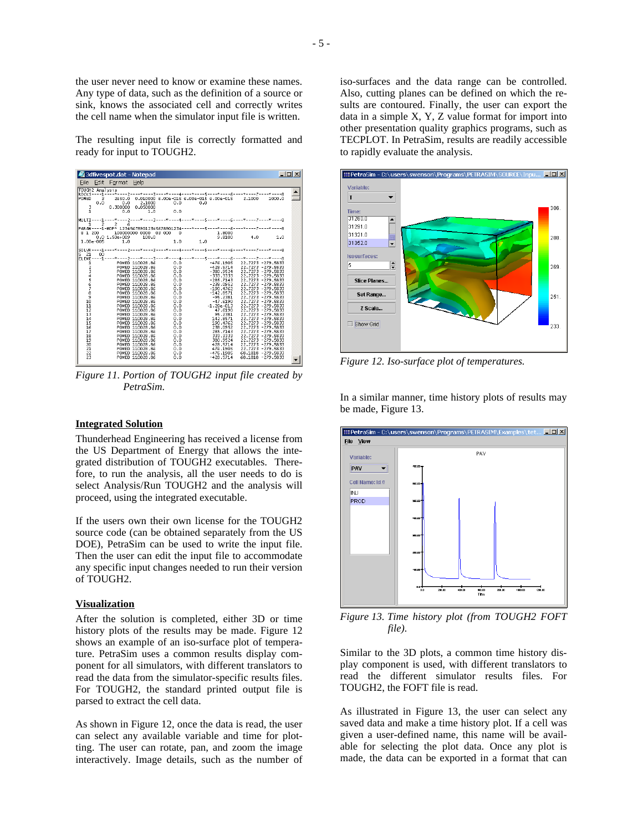the user never need to know or examine these names. Any type of data, such as the definition of a source or sink, knows the associated cell and correctly writes the cell name when the simulator input file is written.

The resulting input file is correctly formatted and ready for input to TOUGH2.



*Figure 11. Portion of TOUGH2 input file created by PetraSim.* 

#### **Integrated Solution**

Thunderhead Engineering has received a license from the US Department of Energy that allows the integrated distribution of TOUGH2 executables. Therefore, to run the analysis, all the user needs to do is select Analysis/Run TOUGH2 and the analysis will proceed, using the integrated executable.

If the users own their own license for the TOUGH2 source code (can be obtained separately from the US DOE), PetraSim can be used to write the input file. Then the user can edit the input file to accommodate any specific input changes needed to run their version of TOUGH2.

#### **Visualization**

After the solution is completed, either 3D or time history plots of the results may be made. Figure 12 shows an example of an iso-surface plot of temperature. PetraSim uses a common results display component for all simulators, with different translators to read the data from the simulator-specific results files. For TOUGH2, the standard printed output file is parsed to extract the cell data.

As shown in Figure 12, once the data is read, the user can select any available variable and time for plotting. The user can rotate, pan, and zoom the image interactively. Image details, such as the number of iso-surfaces and the data range can be controlled. Also, cutting planes can be defined on which the results are contoured. Finally, the user can export the data in a simple  $X$ ,  $Y$ ,  $Z$  value format for import into other presentation quality graphics programs, such as TECPLOT. In PetraSim, results are readily accessible to rapidly evaluate the analysis.



*Figure 12. Iso-surface plot of temperatures.* 

In a similar manner, time history plots of results may be made, Figure 13.



*Figure 13. Time history plot (from TOUGH2 FOFT file).* 

Similar to the 3D plots, a common time history display component is used, with different translators to read the different simulator results files. For TOUGH2, the FOFT file is read.

As illustrated in Figure 13, the user can select any saved data and make a time history plot. If a cell was given a user-defined name, this name will be available for selecting the plot data. Once any plot is made, the data can be exported in a format that can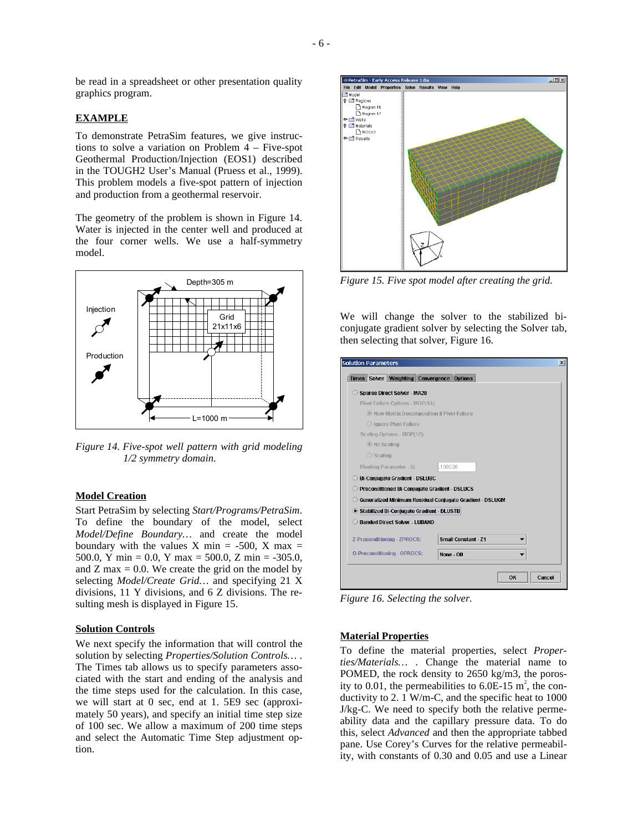be read in a spreadsheet or other presentation quality graphics program.

#### **EXAMPLE**

To demonstrate PetraSim features, we give instructions to solve a variation on Problem 4 – Five-spot Geothermal Production/Injection (EOS1) described in the TOUGH2 User's Manual (Pruess et al., 1999). This problem models a five-spot pattern of injection and production from a geothermal reservoir.

The geometry of the problem is shown in Figure 14. Water is injected in the center well and produced at the four corner wells. We use a half-symmetry model.



*Figure 14. Five-spot well pattern with grid modeling 1/2 symmetry domain.* 

#### **Model Creation**

Start PetraSim by selecting *Start/Programs/PetraSim*. To define the boundary of the model, select *Model/Define Boundary…* and create the model boundary with the values X min = -500, X max = 500.0, Y min = 0.0, Y max = 500.0, Z min = -305.0, and  $Z$  max = 0.0. We create the grid on the model by selecting *Model/Create Grid…* and specifying 21 X divisions, 11 Y divisions, and 6 Z divisions. The resulting mesh is displayed in Figure 15.

### **Solution Controls**

We next specify the information that will control the solution by selecting *Properties/Solution Controls…* . The Times tab allows us to specify parameters associated with the start and ending of the analysis and the time steps used for the calculation. In this case, we will start at 0 sec, end at 1. 5E9 sec (approximately 50 years), and specify an initial time step size of 100 sec. We allow a maximum of 200 time steps and select the Automatic Time Step adjustment option.



*Figure 15. Five spot model after creating the grid.* 

We will change the solver to the stabilized biconjugate gradient solver by selecting the Solver tab, then selecting that solver, Figure 16.

| Solution Parameters |                                      |                                                          |                            |    | $\times$ |
|---------------------|--------------------------------------|----------------------------------------------------------|----------------------------|----|----------|
|                     |                                      | Times Solver Weighting Convergence Options               |                            |    |          |
|                     | Sparse Direct Solver - MA28          |                                                          |                            |    |          |
|                     | Pivot Failure Options - MOP(14):     |                                                          |                            |    |          |
|                     |                                      | <sup>1</sup> New Matrix Decomposition if Pivot Failure   |                            |    |          |
|                     | ○ Ignore Pivot Failure               |                                                          |                            |    |          |
|                     | Scaling Options - MOP(17):           |                                                          |                            |    |          |
|                     | <b>O</b> No Scaling                  |                                                          |                            |    |          |
| $\circ$ Scaling     |                                      |                                                          |                            |    |          |
|                     | Pivoting Parameter - U:              | .100000                                                  |                            |    |          |
|                     | Bi-Conjugate Gradient - DSLUBC       |                                                          |                            |    |          |
|                     |                                      | Preconditioned Bi-Conjugate Gradient - DSLUCS            |                            |    |          |
|                     |                                      | Generalized Minimum Residual Conjugate Gradient - DSLUGM |                            |    |          |
|                     |                                      | Stabilized Bi-Conjugate Gradient - DLUSTB                |                            |    |          |
|                     | <b>Banded Direct Solver - LUBAND</b> |                                                          |                            |    |          |
|                     |                                      |                                                          |                            |    |          |
|                     | <b>Z-Preconditioning - ZPROCS:</b>   |                                                          | <b>Small Constant - Z1</b> |    |          |
|                     | <b>O-Preconditioning - OPROCS:</b>   | None - OO                                                |                            |    |          |
|                     |                                      |                                                          |                            |    |          |
|                     |                                      |                                                          |                            | OK | Cancel   |
|                     |                                      |                                                          |                            |    |          |

*Figure 16. Selecting the solver.* 

### **Material Properties**

To define the material properties, select *Properties/Materials…* . Change the material name to POMED, the rock density to 2650 kg/m3, the porosity to 0.01, the permeabilities to 6.0E-15  $m^2$ , the conductivity to 2. 1 W/m-C, and the specific heat to 1000 J/kg-C. We need to specify both the relative permeability data and the capillary pressure data. To do this, select *Advanced* and then the appropriate tabbed pane. Use Corey's Curves for the relative permeability, with constants of 0.30 and 0.05 and use a Linear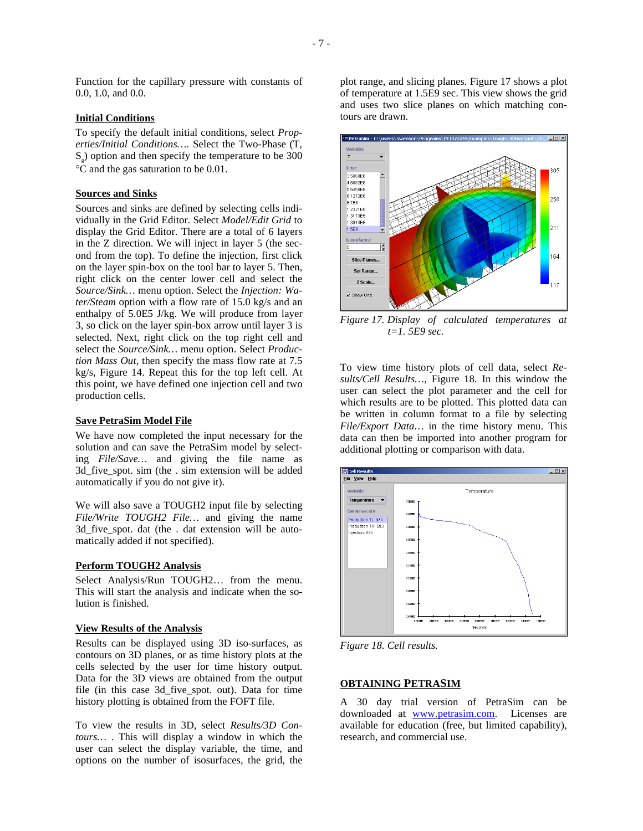Function for the capillary pressure with constants of 0.0, 1.0, and 0.0.

#### **Initial Conditions**

To specify the default initial conditions, select *Properties/Initial Conditions…*. Select the Two-Phase (T,  $S<sub>s</sub>$ ) option and then specify the temperature to be 300 °C and the gas saturation to be 0.01.

#### **Sources and Sinks**

Sources and sinks are defined by selecting cells individually in the Grid Editor. Select *Model/Edit Grid* to display the Grid Editor. There are a total of 6 layers in the Z direction. We will inject in layer 5 (the second from the top). To define the injection, first click on the layer spin-box on the tool bar to layer 5. Then, right click on the center lower cell and select the *Source/Sink…* menu option. Select the *Injection: Water/Steam* option with a flow rate of 15.0 kg/s and an enthalpy of 5.0E5 J/kg. We will produce from layer 3, so click on the layer spin-box arrow until layer 3 is selected. Next, right click on the top right cell and select the *Source/Sink…* menu option. Select *Production Mass Out*, then specify the mass flow rate at 7.5 kg/s, Figure 14. Repeat this for the top left cell. At this point, we have defined one injection cell and two production cells.

#### **Save PetraSim Model File**

We have now completed the input necessary for the solution and can save the PetraSim model by selecting *File/Save…* and giving the file name as 3d five spot. sim (the . sim extension will be added automatically if you do not give it).

We will also save a TOUGH2 input file by selecting *File/Write TOUGH2 File…* and giving the name 3d\_five\_spot. dat (the . dat extension will be automatically added if not specified).

#### **Perform TOUGH2 Analysis**

Select Analysis/Run TOUGH2… from the menu. This will start the analysis and indicate when the solution is finished.

#### **View Results of the Analysis**

Results can be displayed using 3D iso-surfaces, as contours on 3D planes, or as time history plots at the cells selected by the user for time history output. Data for the 3D views are obtained from the output file (in this case 3d\_five\_spot. out). Data for time history plotting is obtained from the FOFT file.

To view the results in 3D, select *Results/3D Contours…* . This will display a window in which the user can select the display variable, the time, and options on the number of isosurfaces, the grid, the plot range, and slicing planes. Figure 17 shows a plot of temperature at 1.5E9 sec. This view shows the grid and uses two slice planes on which matching contours are drawn.



*Figure 17. Display of calculated temperatures at t=1. 5E9 sec.* 

To view time history plots of cell data, select *Results/Cell Results…*, Figure 18. In this window the user can select the plot parameter and the cell for which results are to be plotted. This plotted data can be written in column format to a file by selecting *File/Export Data…* in the time history menu. This data can then be imported into another program for additional plotting or comparison with data.



*Figure 18. Cell results.* 

#### **OBTAINING PETRASIM**

A 30 day trial version of PetraSim can be downloaded at www.petrasim.com. Licenses are available for education (free, but limited capability), research, and commercial use.